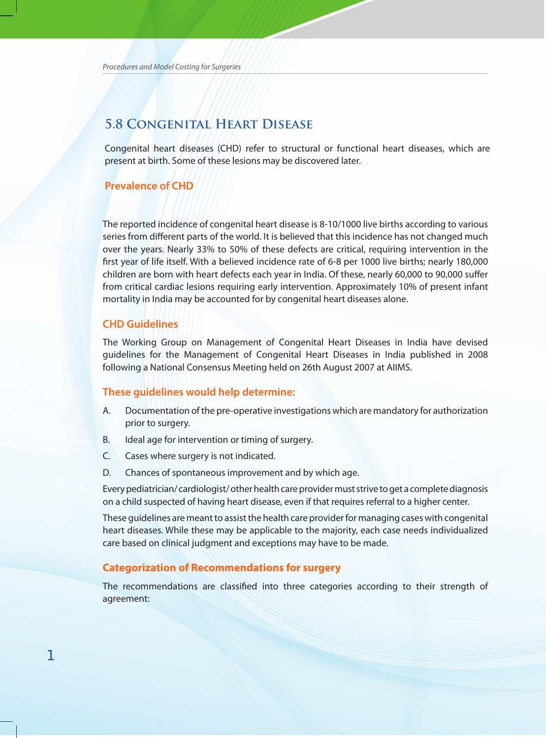# **5.8 Congenital Heart Disease**

Congenital heart diseases (CHD) refer to structural or functional heart diseases, which are present at birth. Some of these lesions may be discovered later.

# **Prevalence of CHD**

The reported incidence of congenital heart disease is 8-10/1000 live births according to various series from different parts of the world. It is believed that this incidence has not changed much over the years. Nearly 33% to 50% of these defects are critical, requiring intervention in the first year of life itself. With a believed incidence rate of 6-8 per 1000 live births; nearly 180,000 children are born with heart defects each year in India. Of these, nearly 60,000 to 90,000 suffer from critical cardiac lesions requiring early intervention. Approximately 10% of present infant mortality in India may be accounted for by congenital heart diseases alone.

# **CHD Guidelines**

The Working Group on Management of Congenital Heart Diseases in India have devised guidelines for the Management of Congenital Heart Diseases in India published in 2008 following a National Consensus Meeting held on 26th August 2007 at AIIMS.

## **these guidelines would help determine:**

- A. Documentation of the pre-operative investigations which are mandatory for authorization prior to surgery.
- B. Ideal age for intervention or timing of surgery.
- C. Cases where surgery is not indicated.
- D. Chances of spontaneous improvement and by which age.

Every pediatrician/ cardiologist/ other health care provider must strive to get a complete diagnosis on a child suspected of having heart disease, even if that requires referral to a higher center.

These guidelines are meant to assist the health care provider for managing cases with congenital heart diseases. While these may be applicable to the majority, each case needs individualized care based on clinical judgment and exceptions may have to be made.

# **categorization of Recommendations for surgery**

The recommendations are classified into three categories according to their strength of agreement: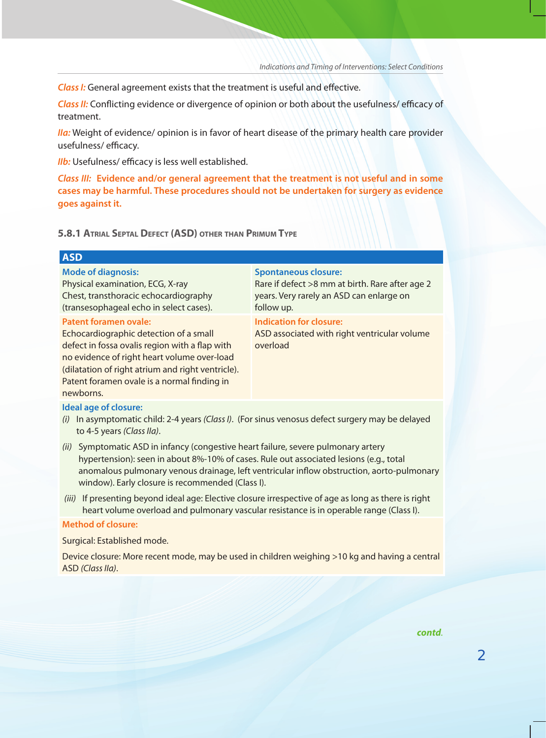*Class I:* General agreement exists that the treatment is useful and effective.

*Class II:* Conflicting evidence or divergence of opinion or both about the usefulness/ efficacy of treatment.

*IIa:* Weight of evidence/ opinion is in favor of heart disease of the primary health care provider usefulness/ efficacy.

**IIb:** Usefulness/ efficacy is less well established.

*Class III:* **evidence and/or general agreement that the treatment is not useful and in some cases may be harmful. these procedures should not be undertaken for surgery as evidence goes against it.** 

**5.8.1 ATRIAL SEpTAL DEFECT (ASD) oTHER THAN pRIMuM TypE**

# **ASD**

**mode of diagnosis:**

Physical examination, ECG, X-ray Chest, transthoracic echocardiography (transesophageal echo in select cases).

### **patent foramen ovale:**

Echocardiographic detection of a small defect in fossa ovalis region with a flap with no evidence of right heart volume over-load (dilatation of right atrium and right ventricle). Patent foramen ovale is a normal finding in newborns.

#### **spontaneous closure:**

Rare if defect >8 mm at birth. Rare after age 2 years. Very rarely an ASD can enlarge on follow up.

**Indication for closure:** ASD associated with right ventricular volume overload

#### **Ideal age of closure:**

- *(i)* In asymptomatic child: 2-4 years *(Class I)*. (For sinus venosus defect surgery may be delayed to 4-5 years *(Class IIa)*.
- *(ii)* Symptomatic ASD in infancy (congestive heart failure, severe pulmonary artery hypertension): seen in about 8%-10% of cases. Rule out associated lesions (e.g., total anomalous pulmonary venous drainage, left ventricular inflow obstruction, aorto-pulmonary window). Early closure is recommended (Class I).
- *(iii)* If presenting beyond ideal age: Elective closure irrespective of age as long as there is right heart volume overload and pulmonary vascular resistance is in operable range (Class I).

#### **method of closure:**

Surgical: Established mode.

Device closure: More recent mode, may be used in children weighing >10 kg and having a central ASD *(Class IIa)*.

*contd.*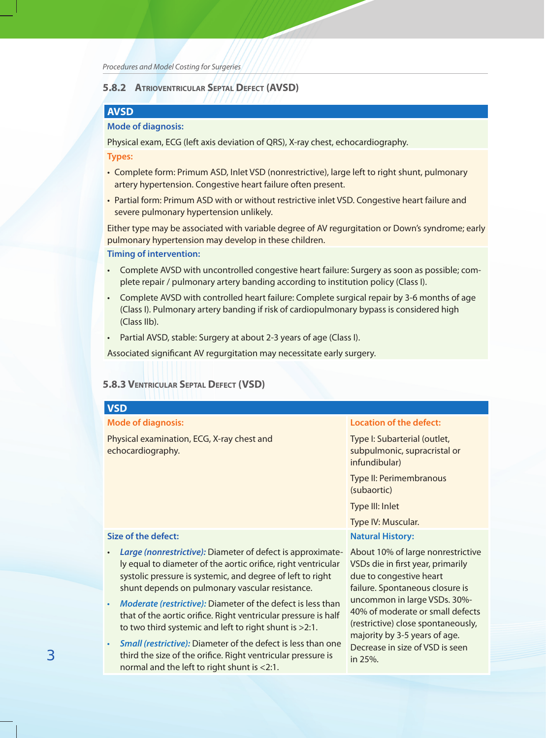*Procedures and Model Costing for Surgeries*

# **5.8.2 ATRIovENTRICuLAR SEpTAL DEFECT (AvSD)**

# **AvSD**

# **mode of diagnosis:**

Physical exam, ECG (left axis deviation of QRS), X-ray chest, echocardiography.

**types:** 

- Complete form: Primum ASD, Inlet VSD (nonrestrictive), large left to right shunt, pulmonary artery hypertension. Congestive heart failure often present.
- Partial form: Primum ASD with or without restrictive inlet VSD. Congestive heart failure and severe pulmonary hypertension unlikely.

Either type may be associated with variable degree of AV regurgitation or Down's syndrome; early pulmonary hypertension may develop in these children.

#### **timing of intervention:**

- Complete AVSD with uncontrolled congestive heart failure: Surgery as soon as possible; complete repair / pulmonary artery banding according to institution policy (Class I).
- Complete AVSD with controlled heart failure: Complete surgical repair by 3-6 months of age (Class I). Pulmonary artery banding if risk of cardiopulmonary bypass is considered high (Class IIb).
- Partial AVSD, stable: Surgery at about 2-3 years of age (Class I).

Associated significant AV regurgitation may necessitate early surgery.

# **5.8.3 vENTRICuLAR SEpTAL DEFECT (vSD)**

|   | <b>VSD</b>                                                                                                                                                                                                                                                |                                                                                                                                                                                                                                                                                                                               |
|---|-----------------------------------------------------------------------------------------------------------------------------------------------------------------------------------------------------------------------------------------------------------|-------------------------------------------------------------------------------------------------------------------------------------------------------------------------------------------------------------------------------------------------------------------------------------------------------------------------------|
|   | <b>Mode of diagnosis:</b>                                                                                                                                                                                                                                 | <b>Location of the defect:</b>                                                                                                                                                                                                                                                                                                |
|   | Physical examination, ECG, X-ray chest and<br>echocardiography.                                                                                                                                                                                           | Type I: Subarterial (outlet,<br>subpulmonic, supracristal or<br>infundibular)                                                                                                                                                                                                                                                 |
|   |                                                                                                                                                                                                                                                           | Type II: Perimembranous<br>(subaortic)                                                                                                                                                                                                                                                                                        |
|   |                                                                                                                                                                                                                                                           | Type III: Inlet                                                                                                                                                                                                                                                                                                               |
|   |                                                                                                                                                                                                                                                           | Type IV: Muscular.                                                                                                                                                                                                                                                                                                            |
|   | <b>Size of the defect:</b>                                                                                                                                                                                                                                | <b>Natural History:</b>                                                                                                                                                                                                                                                                                                       |
|   | Large (nonrestrictive): Diameter of defect is approximate-<br>$\bullet$<br>ly equal to diameter of the aortic orifice, right ventricular<br>systolic pressure is systemic, and degree of left to right<br>shunt depends on pulmonary vascular resistance. | About 10% of large nonrestrictive<br>VSDs die in first year, primarily<br>due to congestive heart<br>failure. Spontaneous closure is<br>uncommon in large VSDs. 30%-<br>40% of moderate or small defects<br>(restrictive) close spontaneously,<br>majority by 3-5 years of age.<br>Decrease in size of VSD is seen<br>in 25%. |
|   | Moderate (restrictive): Diameter of the defect is less than<br>$\bullet$<br>that of the aortic orifice. Right ventricular pressure is half<br>to two third systemic and left to right shunt is $>2.1$ .                                                   |                                                                                                                                                                                                                                                                                                                               |
| З | Small (restrictive): Diameter of the defect is less than one<br>$\bullet$<br>third the size of the orifice. Right ventricular pressure is<br>normal and the left to right shunt is <2:1.                                                                  |                                                                                                                                                                                                                                                                                                                               |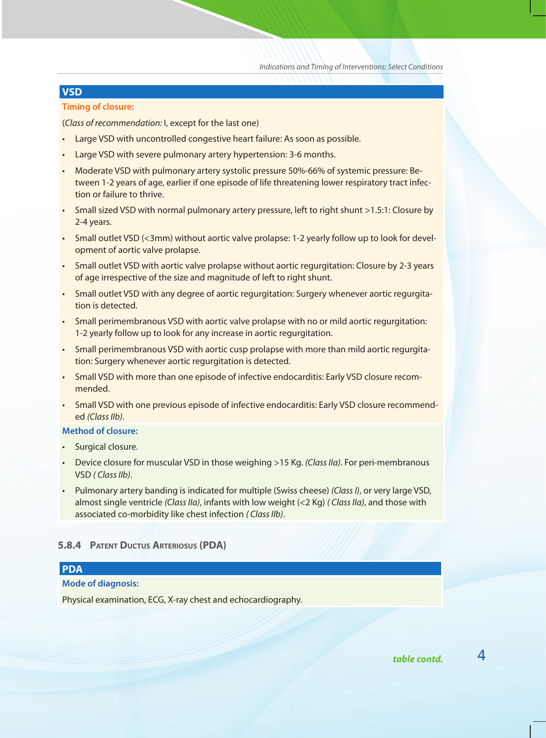# **vSD**

#### **timing of closure:**

(*Class of recommendation:* I, except for the last one)

- Large VSD with uncontrolled congestive heart failure: As soon as possible.
- Large VSD with severe pulmonary artery hypertension: 3-6 months.
- Moderate VSD with pulmonary artery systolic pressure 50%-66% of systemic pressure: Between 1-2 years of age, earlier if one episode of life threatening lower respiratory tract infection or failure to thrive.
- Small sized VSD with normal pulmonary artery pressure, left to right shunt >1.5:1: Closure by 2-4 years.
- Small outlet VSD (<3mm) without aortic valve prolapse: 1-2 yearly follow up to look for development of aortic valve prolapse.
- Small outlet VSD with aortic valve prolapse without aortic regurgitation: Closure by 2-3 years of age irrespective of the size and magnitude of left to right shunt.
- Small outlet VSD with any degree of aortic regurgitation: Surgery whenever aortic regurgitation is detected.
- Small perimembranous VSD with aortic valve prolapse with no or mild aortic regurgitation: 1-2 yearly follow up to look for any increase in aortic regurgitation.
- Small perimembranous VSD with aortic cusp prolapse with more than mild aortic regurgitation: Surgery whenever aortic regurgitation is detected.
- Small VSD with more than one episode of infective endocarditis: Early VSD closure recommended.
- Small VSD with one previous episode of infective endocarditis: Early VSD closure recommended *(Class IIb)*.

#### **method of closure:**

- Surgical closure.
- Device closure for muscular VSD in those weighing >15 Kg. *(Class IIa)*. For peri-membranous VSD *( Class IIb)*.
- Pulmonary artery banding is indicated for multiple (Swiss cheese) *(Class I)*, or very large VSD, almost single ventricle *(Class IIa)*, infants with low weight (<2 Kg) *( Class IIa)*, and those with associated co-morbidity like chest infection *( Class IIb)*.

### **5.8.4 pATENT DuCTuS ARTERIoSuS (pDA)**

# **pDA**

### **mode of diagnosis:**

Physical examination, ECG, X-ray chest and echocardiography.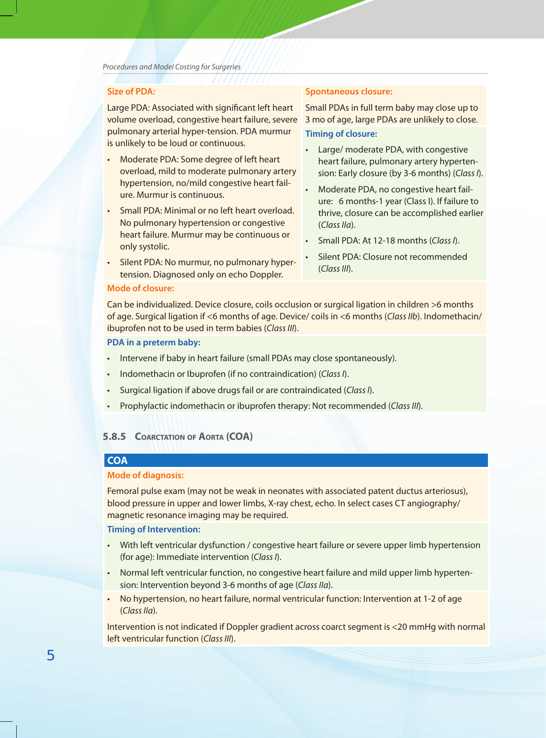# **Size of PDA:**

Large PDA: Associated with significant left heart volume overload, congestive heart failure, severe pulmonary arterial hyper-tension. PDA murmur is unlikely to be loud or continuous.

- Moderate PDA: Some degree of left heart overload, mild to moderate pulmonary artery hypertension, no/mild congestive heart failure. Murmur is continuous.
- Small PDA: Minimal or no left heart overload. No pulmonary hypertension or congestive heart failure. Murmur may be continuous or only systolic.
- Silent PDA: No murmur, no pulmonary hypertension. Diagnosed only on echo Doppler.

# **spontaneous closure:**

Small PDAs in full term baby may close up to 3 mo of age, large PDAs are unlikely to close. **timing of closure:**

- Large/ moderate PDA, with congestive heart failure, pulmonary artery hypertension: Early closure (by 3-6 months) (*Class I*).
- Moderate PDA, no congestive heart failure: 6 months-1 year (Class I). If failure to thrive, closure can be accomplished earlier (*Class IIa*).
- Small PDA: At 12-18 months (*Class I*).
- Silent PDA: Closure not recommended (*Class III*).

#### **mode of closure:**

Can be individualized. Device closure, coils occlusion or surgical ligation in children >6 months of age. Surgical ligation if <6 months of age. Device/ coils in <6 months (*Class IIb*). Indomethacin/ ibuprofen not to be used in term babies (*Class III*).

# **PDA in a preterm baby:**

- Intervene if baby in heart failure (small PDAs may close spontaneously).
- Indomethacin or Ibuprofen (if no contraindication) (*Class I*).
- Surgical ligation if above drugs fail or are contraindicated (*Class I*).
- Prophylactic indomethacin or ibuprofen therapy: Not recommended (*Class III*).

#### **5.8.5 CoARCTATIoN oF AoRTA (CoA)**

# **CoA**

#### **mode of diagnosis:**

Femoral pulse exam (may not be weak in neonates with associated patent ductus arteriosus), blood pressure in upper and lower limbs, X-ray chest, echo. In select cases CT angiography/ magnetic resonance imaging may be required.

#### **timing of Intervention:**

- With left ventricular dysfunction / congestive heart failure or severe upper limb hypertension (for age): Immediate intervention (*Class I*).
- Normal left ventricular function, no congestive heart failure and mild upper limb hypertension: Intervention beyond 3-6 months of age (*Class IIa*).
- No hypertension, no heart failure, normal ventricular function: Intervention at 1-2 of age (*Class IIa*).

Intervention is not indicated if Doppler gradient across coarct segment is <20 mmHg with normal left ventricular function (*Class III*).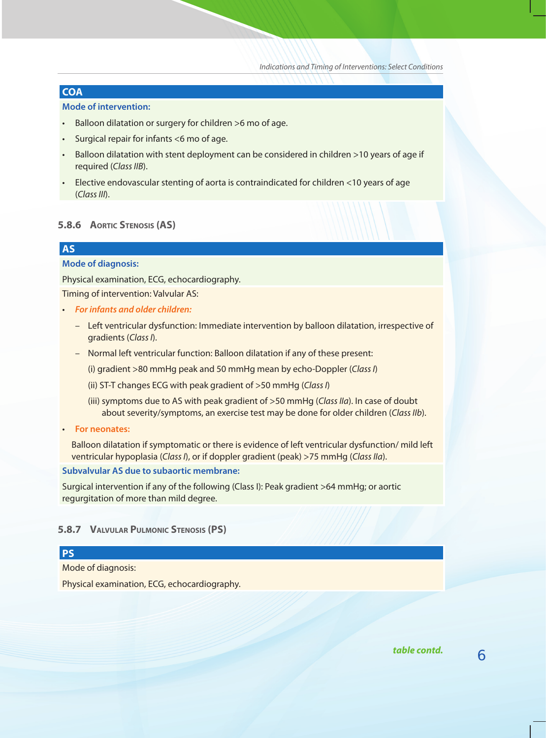# **CoA**

#### **mode of intervention:**

- Balloon dilatation or surgery for children >6 mo of age.
- Surgical repair for infants <6 mo of age.
- Balloon dilatation with stent deployment can be considered in children >10 years of age if required (*Class IIB*).
- Elective endovascular stenting of aorta is contraindicated for children <10 years of age (*Class III*).

# **5.8.6 AoRTIC STENoSIS (AS)**

# **AS**

#### **mode of diagnosis:**

Physical examination, ECG, echocardiography.

Timing of intervention: Valvular AS:

- *For infants and older children:*
	- Left ventricular dysfunction: Immediate intervention by balloon dilatation, irrespective of gradients (*Class I*).
	- Normal left ventricular function: Balloon dilatation if any of these present:
		- (i) gradient >80 mmHg peak and 50 mmHg mean by echo-Doppler (*Class I*)
		- (ii) ST-T changes ECG with peak gradient of >50 mmHg (*Class I*)
		- (iii) symptoms due to AS with peak gradient of >50 mmHg (*Class IIa*). In case of doubt about severity/symptoms, an exercise test may be done for older children (*Class IIb*).
- **For neonates:**

 Balloon dilatation if symptomatic or there is evidence of left ventricular dysfunction/ mild left ventricular hypoplasia (*Class I*), or if doppler gradient (peak) >75 mmHg (*Class IIa*).

#### **subvalvular as due to subaortic membrane:**

Surgical intervention if any of the following (Class I): Peak gradient >64 mmHg; or aortic regurgitation of more than mild degree.

### **5.8.7 vALvuLAR puLMoNIC STENoSIS (pS)**

# **pS**

Mode of diagnosis:

Physical examination, ECG, echocardiography.

table contd. 6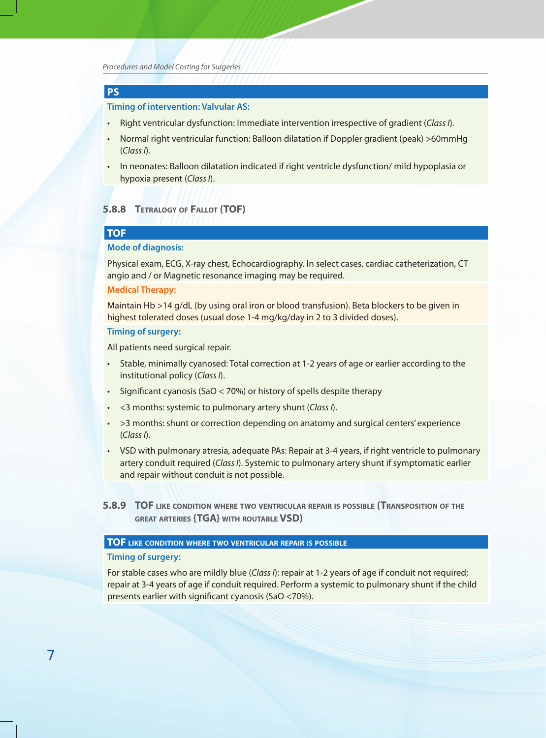*Procedures and Model Costing for Surgeries*

# **pS**

### **timing of intervention: Valvular as:**

- Right ventricular dysfunction: Immediate intervention irrespective of gradient (*Class I*).
- Normal right ventricular function: Balloon dilatation if Doppler gradient (peak) >60mmHg (*Class I*).
- In neonates: Balloon dilatation indicated if right ventricle dysfunction/ mild hypoplasia or hypoxia present (*Class I*).

### **5.8.8 TETRALoGy oF FALLoT (ToF)**

# **ToF**

### **mode of diagnosis:**

Physical exam, ECG, X-ray chest, Echocardiography. In select cases, cardiac catheterization, CT angio and / or Magnetic resonance imaging may be required.

### **Medical Therapy:**

Maintain Hb >14 g/dL (by using oral iron or blood transfusion). Beta blockers to be given in highest tolerated doses (usual dose 1-4 mg/kg/day in 2 to 3 divided doses).

#### **timing of surgery:**

All patients need surgical repair.

- Stable, minimally cyanosed: Total correction at 1-2 years of age or earlier according to the institutional policy (*Class I*).
- Significant cyanosis (SaO < 70%) or history of spells despite therapy
- <3 months: systemic to pulmonary artery shunt (*Class I*).
- > 3 months: shunt or correction depending on anatomy and surgical centers' experience (*Class I*).
- VSD with pulmonary atresia, adequate PAs: Repair at 3-4 years, if right ventricle to pulmonary artery conduit required (*Class I*). Systemic to pulmonary artery shunt if symptomatic earlier and repair without conduit is not possible.
- **5.8.9 ToF LIkE CoNDITIoN wHERE Two vENTRICuLAR REpAIR IS poSSIBLE (TRANSpoSITIoN oF THE GREAT ARTERIES {TGA} wITH RouTABLE vSD)**

#### **ToF LIkE CoNDITIoN wHERE Two vENTRICuLAR REpAIR IS poSSIBLE**

#### **timing of surgery:**

For stable cases who are mildly blue (*Class I*): repair at 1-2 years of age if conduit not required; repair at 3-4 years of age if conduit required. Perform a systemic to pulmonary shunt if the child presents earlier with significant cyanosis (SaO <70%).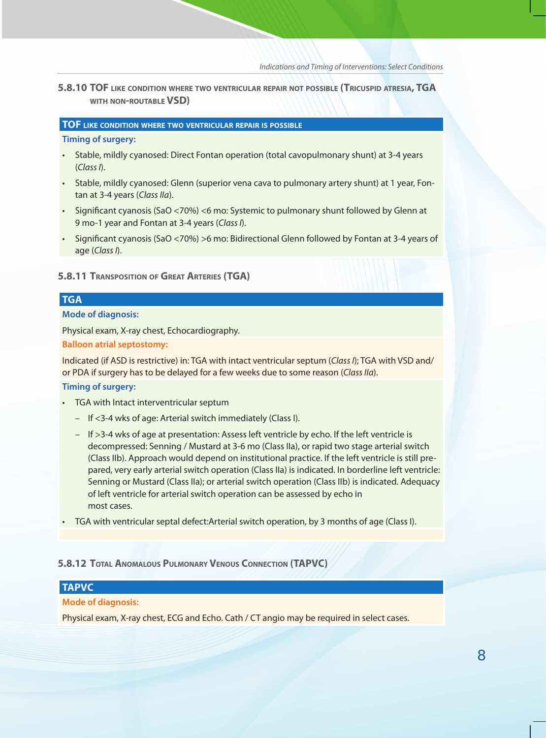**5.8.10 ToF LIkE CoNDITIoN wHERE Two vENTRICuLAR REpAIR NoT poSSIBLE (TRICuSpID ATRESIA, TGA wITH NoN-RouTABLE vSD)**

### **ToF LIkE CoNDITIoN wHERE Two vENTRICuLAR REpAIR IS poSSIBLE**

#### **timing of surgery:**

- Stable, mildly cyanosed: Direct Fontan operation (total cavopulmonary shunt) at 3-4 years (*Class I*).
- Stable, mildly cyanosed: Glenn (superior vena cava to pulmonary artery shunt) at 1 year, Fontan at 3-4 years (*Class IIa*).
- Significant cyanosis (SaO <70%) <6 mo: Systemic to pulmonary shunt followed by Glenn at 9 mo-1 year and Fontan at 3-4 years (*Class I*).
- Significant cyanosis (SaO <70%) >6 mo: Bidirectional Glenn followed by Fontan at 3-4 years of age (*Class I*).

### **5.8.11 TRANSpoSITIoN oF GREAT ARTERIES (TGA)**

# **TGA**

### **mode of diagnosis:**

Physical exam, X-ray chest, Echocardiography.

### **Balloon atrial septostomy:**

Indicated (if ASD is restrictive) in: TGA with intact ventricular septum (*Class I*); TGA with VSD and/ or PDA if surgery has to be delayed for a few weeks due to some reason (*Class IIa*).

### **timing of surgery:**

- TGA with Intact interventricular septum
	- If <3-4 wks of age: Arterial switch immediately (Class I).
	- If >3-4 wks of age at presentation: Assess left ventricle by echo. If the left ventricle is decompressed: Senning / Mustard at 3-6 mo (Class IIa), or rapid two stage arterial switch (Class IIb). Approach would depend on institutional practice. If the left ventricle is still prepared, very early arterial switch operation (Class IIa) is indicated. In borderline left ventricle: Senning or Mustard (Class IIa); or arterial switch operation (Class IIb) is indicated. Adequacy of left ventricle for arterial switch operation can be assessed by echo in most cases.
- TGA with ventricular septal defect:Arterial switch operation, by 3 months of age (Class I).

#### **5.8.12 ToTAL ANoMALouS puLMoNARy vENouS CoNNECTIoN (TApvC)**

# **TApvC**

### **mode of diagnosis:**

Physical exam, X-ray chest, ECG and Echo. Cath / CT angio may be required in select cases.